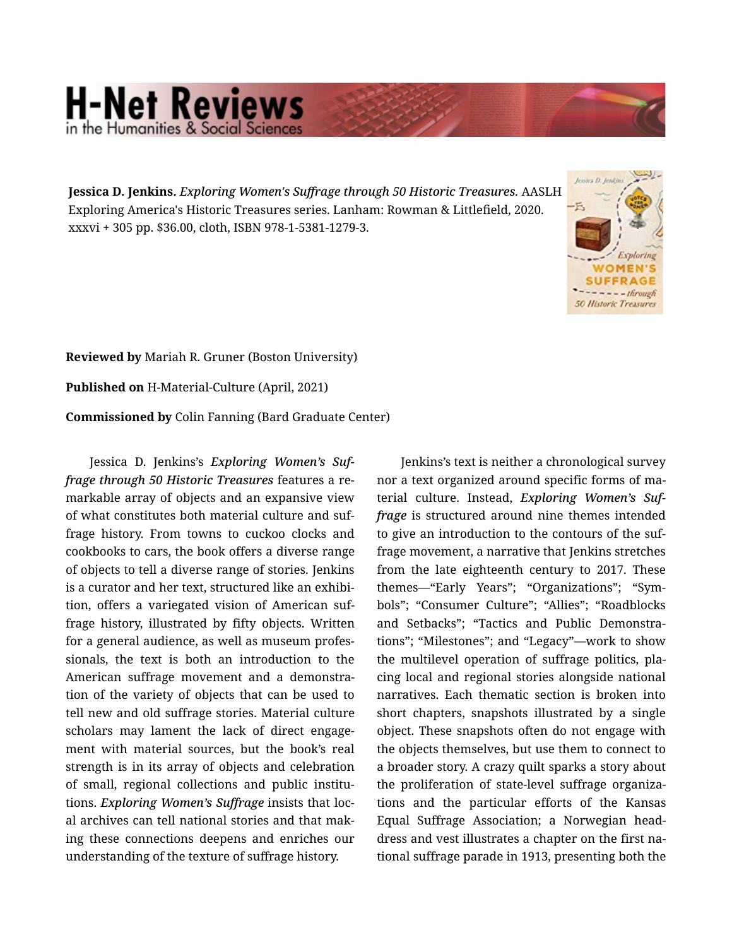## **H-Net Reviews** in the Humanities & Social Scienc

**Jessica D. Jenkins.** *Exploring Women's Suffrage through 50 Historic Treasures.* AASLH Exploring America's Historic Treasures series. Lanham: Rowman & Littlefield, 2020. xxxvi + 305 pp. \$36.00, cloth, ISBN 978-1-5381-1279-3.



**Reviewed by** Mariah R. Gruner (Boston University) **Published on** H-Material-Culture (April, 2021) **Commissioned by** Colin Fanning (Bard Graduate Center)

Jessica D. Jenkins's *Exploring Women's Suf‐ frage through 50 Historic Treasures* features a re‐ markable array of objects and an expansive view of what constitutes both material culture and suf‐ frage history. From towns to cuckoo clocks and cookbooks to cars, the book offers a diverse range of objects to tell a diverse range of stories. Jenkins is a curator and her text, structured like an exhibi‐ tion, offers a variegated vision of American suf‐ frage history, illustrated by fifty objects. Written for a general audience, as well as museum profes‐ sionals, the text is both an introduction to the American suffrage movement and a demonstra‐ tion of the variety of objects that can be used to tell new and old suffrage stories. Material culture scholars may lament the lack of direct engage‐ ment with material sources, but the book's real strength is in its array of objects and celebration of small, regional collections and public institu‐ tions. *Exploring Women's Suffrage* insists that loc‐ al archives can tell national stories and that mak‐ ing these connections deepens and enriches our understanding of the texture of suffrage history.

Jenkins's text is neither a chronological survey nor a text organized around specific forms of ma‐ terial culture. Instead, *Exploring Women's Suf‐ frage* is structured around nine themes intended to give an introduction to the contours of the suf‐ frage movement, a narrative that Jenkins stretches from the late eighteenth century to 2017. These themes—"Early Years"; "Organizations"; "Sym‐ bols"; "Consumer Culture"; "Allies"; "Roadblocks and Setbacks"; "Tactics and Public Demonstra‐ tions"; "Milestones"; and "Legacy"—work to show the multilevel operation of suffrage politics, pla‐ cing local and regional stories alongside national narratives. Each thematic section is broken into short chapters, snapshots illustrated by a single object. These snapshots often do not engage with the objects themselves, but use them to connect to a broader story. A crazy quilt sparks a story about the proliferation of state-level suffrage organiza‐ tions and the particular efforts of the Kansas Equal Suffrage Association; a Norwegian head‐ dress and vest illustrates a chapter on the first na‐ tional suffrage parade in 1913, presenting both the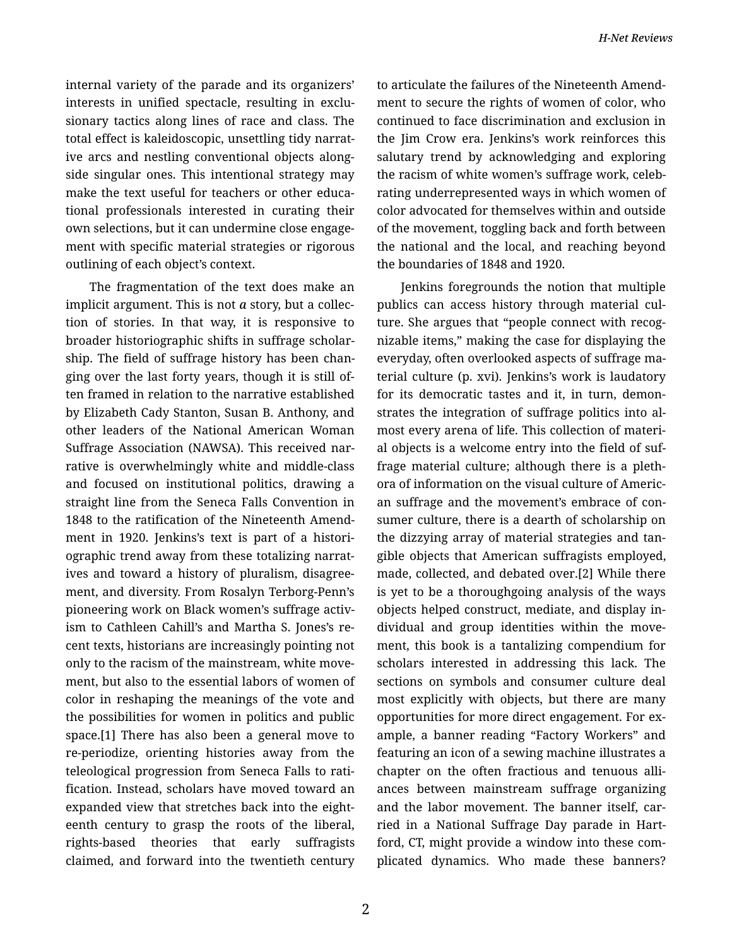internal variety of the parade and its organizers' interests in unified spectacle, resulting in exclu‐ sionary tactics along lines of race and class. The total effect is kaleidoscopic, unsettling tidy narrat‐ ive arcs and nestling conventional objects along‐ side singular ones. This intentional strategy may make the text useful for teachers or other educa‐ tional professionals interested in curating their own selections, but it can undermine close engage‐ ment with specific material strategies or rigorous outlining of each object's context.

The fragmentation of the text does make an implicit argument. This is not *a* story, but a collec‐ tion of stories. In that way, it is responsive to broader historiographic shifts in suffrage scholar‐ ship. The field of suffrage history has been chan‐ ging over the last forty years, though it is still of‐ ten framed in relation to the narrative established by Elizabeth Cady Stanton, Susan B. Anthony, and other leaders of the National American Woman Suffrage Association (NAWSA). This received nar‐ rative is overwhelmingly white and middle-class and focused on institutional politics, drawing a straight line from the Seneca Falls Convention in 1848 to the ratification of the Nineteenth Amend‐ ment in 1920. Jenkins's text is part of a histori‐ ographic trend away from these totalizing narrat‐ ives and toward a history of pluralism, disagree‐ ment, and diversity. From Rosalyn Terborg-Penn's pioneering work on Black women's suffrage activ‐ ism to Cathleen Cahill's and Martha S. Jones's re‐ cent texts, historians are increasingly pointing not only to the racism of the mainstream, white move‐ ment, but also to the essential labors of women of color in reshaping the meanings of the vote and the possibilities for women in politics and public space.[1] There has also been a general move to re-periodize, orienting histories away from the teleological progression from Seneca Falls to rati‐ fication. Instead, scholars have moved toward an expanded view that stretches back into the eight‐ eenth century to grasp the roots of the liberal, rights-based theories that early suffragists claimed, and forward into the twentieth century to articulate the failures of the Nineteenth Amend‐ ment to secure the rights of women of color, who continued to face discrimination and exclusion in the Jim Crow era. Jenkins's work reinforces this salutary trend by acknowledging and exploring the racism of white women's suffrage work, celeb‐ rating underrepresented ways in which women of color advocated for themselves within and outside of the movement, toggling back and forth between the national and the local, and reaching beyond the boundaries of 1848 and 1920.

Jenkins foregrounds the notion that multiple publics can access history through material cul‐ ture. She argues that "people connect with recognizable items," making the case for displaying the everyday, often overlooked aspects of suffrage ma‐ terial culture (p. xvi). Jenkins's work is laudatory for its democratic tastes and it, in turn, demon‐ strates the integration of suffrage politics into al‐ most every arena of life. This collection of materi‐ al objects is a welcome entry into the field of suf‐ frage material culture; although there is a pleth‐ ora of information on the visual culture of Americ‐ an suffrage and the movement's embrace of con‐ sumer culture, there is a dearth of scholarship on the dizzying array of material strategies and tan‐ gible objects that American suffragists employed, made, collected, and debated over.[2] While there is yet to be a thoroughgoing analysis of the ways objects helped construct, mediate, and display in‐ dividual and group identities within the move‐ ment, this book is a tantalizing compendium for scholars interested in addressing this lack. The sections on symbols and consumer culture deal most explicitly with objects, but there are many opportunities for more direct engagement. For ex‐ ample, a banner reading "Factory Workers" and featuring an icon of a sewing machine illustrates a chapter on the often fractious and tenuous alli‐ ances between mainstream suffrage organizing and the labor movement. The banner itself, carried in a National Suffrage Day parade in Hart‐ ford, CT, might provide a window into these com‐ plicated dynamics. Who made these banners?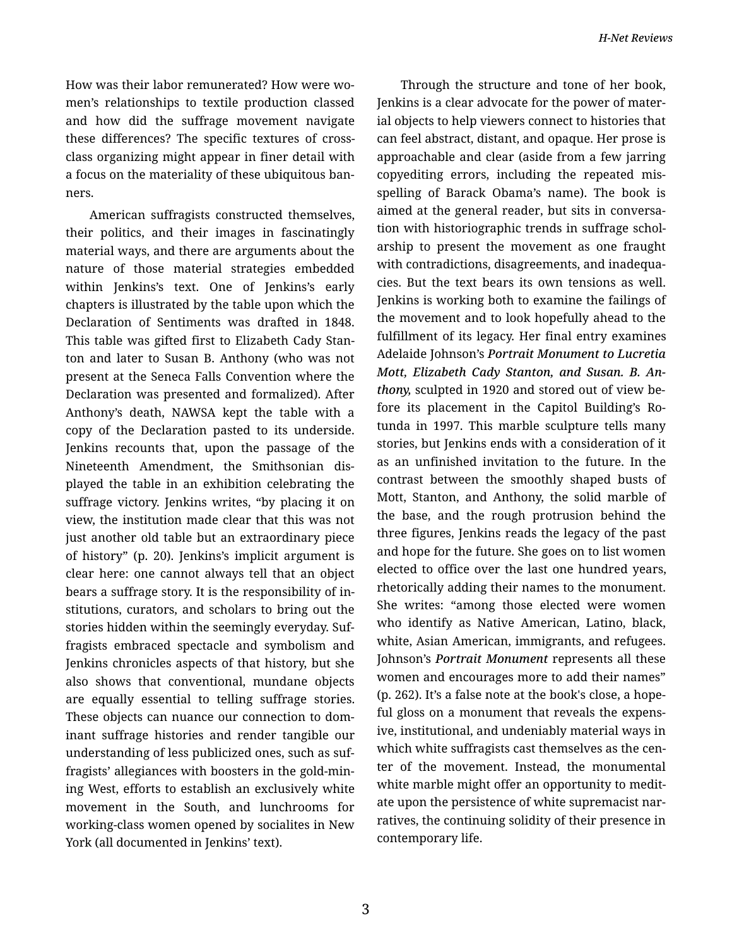How was their labor remunerated? How were wo‐ men's relationships to textile production classed and how did the suffrage movement navigate these differences? The specific textures of crossclass organizing might appear in finer detail with a focus on the materiality of these ubiquitous ban‐ ners.

American suffragists constructed themselves, their politics, and their images in fascinatingly material ways, and there are arguments about the nature of those material strategies embedded within Jenkins's text. One of Jenkins's early chapters is illustrated by the table upon which the Declaration of Sentiments was drafted in 1848. This table was gifted first to Elizabeth Cady Stan‐ ton and later to Susan B. Anthony (who was not present at the Seneca Falls Convention where the Declaration was presented and formalized). After Anthony's death, NAWSA kept the table with a copy of the Declaration pasted to its underside. Jenkins recounts that, upon the passage of the Nineteenth Amendment, the Smithsonian dis‐ played the table in an exhibition celebrating the suffrage victory. Jenkins writes, "by placing it on view, the institution made clear that this was not just another old table but an extraordinary piece of history" (p. 20). Jenkins's implicit argument is clear here: one cannot always tell that an object bears a suffrage story. It is the responsibility of in‐ stitutions, curators, and scholars to bring out the stories hidden within the seemingly everyday. Suf‐ fragists embraced spectacle and symbolism and Jenkins chronicles aspects of that history, but she also shows that conventional, mundane objects are equally essential to telling suffrage stories. These objects can nuance our connection to dom‐ inant suffrage histories and render tangible our understanding of less publicized ones, such as suf‐ fragists' allegiances with boosters in the gold-min‐ ing West, efforts to establish an exclusively white movement in the South, and lunchrooms for working-class women opened by socialites in New York (all documented in Jenkins' text).

Through the structure and tone of her book, Jenkins is a clear advocate for the power of mater‐ ial objects to help viewers connect to histories that can feel abstract, distant, and opaque. Her prose is approachable and clear (aside from a few jarring copyediting errors, including the repeated mis‐ spelling of Barack Obama's name). The book is aimed at the general reader, but sits in conversa‐ tion with historiographic trends in suffrage schol‐ arship to present the movement as one fraught with contradictions, disagreements, and inadequa‐ cies. But the text bears its own tensions as well. Jenkins is working both to examine the failings of the movement and to look hopefully ahead to the fulfillment of its legacy. Her final entry examines Adelaide Johnson's *Portrait Monument to Lucretia Mott, Elizabeth Cady Stanton, and Susan. B. An‐ thony,* sculpted in 1920 and stored out of view be‐ fore its placement in the Capitol Building's Ro‐ tunda in 1997. This marble sculpture tells many stories, but Jenkins ends with a consideration of it as an unfinished invitation to the future. In the contrast between the smoothly shaped busts of Mott, Stanton, and Anthony, the solid marble of the base, and the rough protrusion behind the three figures, Jenkins reads the legacy of the past and hope for the future. She goes on to list women elected to office over the last one hundred years, rhetorically adding their names to the monument. She writes: "among those elected were women who identify as Native American, Latino, black, white, Asian American, immigrants, and refugees. Johnson's *Portrait Monument* represents all these women and encourages more to add their names" (p. 262). It's a false note at the book's close, a hope‐ ful gloss on a monument that reveals the expens‐ ive, institutional, and undeniably material ways in which white suffragists cast themselves as the center of the movement. Instead, the monumental white marble might offer an opportunity to meditate upon the persistence of white supremacist nar‐ ratives, the continuing solidity of their presence in contemporary life.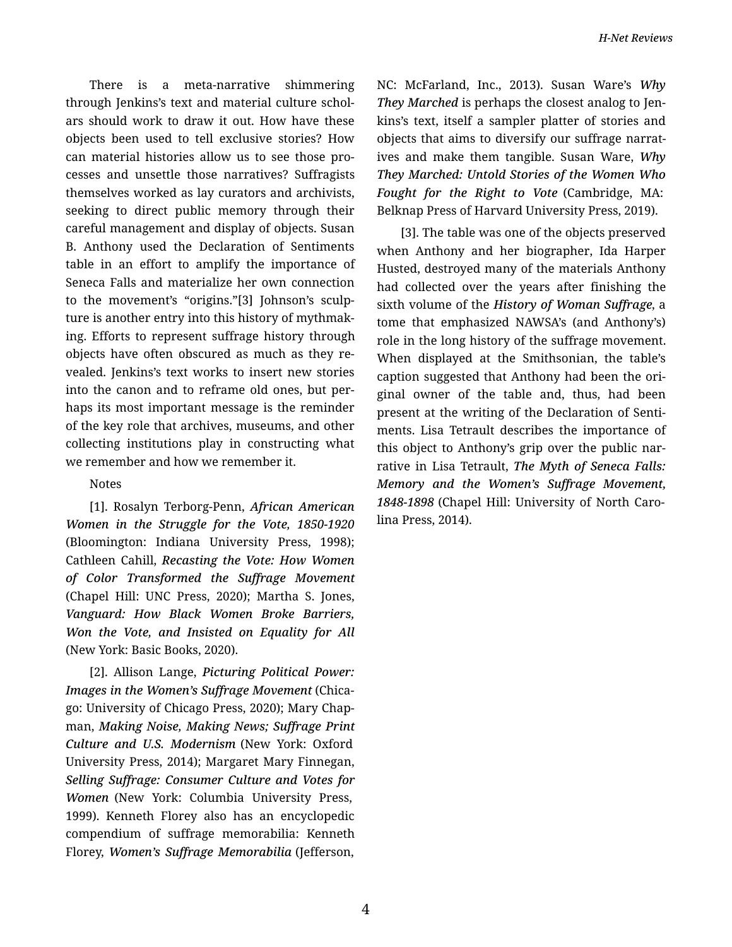There is a meta-narrative shimmering through Jenkins's text and material culture schol‐ ars should work to draw it out. How have these objects been used to tell exclusive stories? How can material histories allow us to see those pro‐ cesses and unsettle those narratives? Suffragists themselves worked as lay curators and archivists, seeking to direct public memory through their careful management and display of objects. Susan B. Anthony used the Declaration of Sentiments table in an effort to amplify the importance of Seneca Falls and materialize her own connection to the movement's "origins."[3] Johnson's sculp‐ ture is another entry into this history of mythmak‐ ing. Efforts to represent suffrage history through objects have often obscured as much as they re‐ vealed. Jenkins's text works to insert new stories into the canon and to reframe old ones, but per‐ haps its most important message is the reminder of the key role that archives, museums, and other collecting institutions play in constructing what we remember and how we remember it.

## Notes

[1]. Rosalyn Terborg-Penn, *African American Women in the Struggle for the Vote, 1850-1920* (Bloomington: Indiana University Press, 1998); Cathleen Cahill, *Recasting the Vote: How Women of Color Transformed the Suffrage Movement* (Chapel Hill: UNC Press, 2020); Martha S. Jones, *Vanguard: How Black Women Broke Barriers, Won the Vote, and Insisted on Equality for All* (New York: Basic Books, 2020).

[2]. Allison Lange, *Picturing Political Power: Images in the Women's Suffrage Movement* (Chica‐ go: University of Chicago Press, 2020); Mary Chap‐ man, *Making Noise, Making News; Suffrage Print Culture and U.S. Modernism* (New York: Oxford University Press, 2014); Margaret Mary Finnegan, *Selling Suffrage: Consumer Culture and Votes for Women* (New York: Columbia University Press, 1999). Kenneth Florey also has an encyclopedic compendium of suffrage memorabilia: Kenneth Florey, *Women's Suffrage Memorabilia* (Jefferson,

NC: McFarland, Inc., 2013). Susan Ware's *Why They Marched* is perhaps the closest analog to Jen‐ kins's text, itself a sampler platter of stories and objects that aims to diversify our suffrage narrat‐ ives and make them tangible. Susan Ware, *Why They Marched: Untold Stories of the Women Who Fought for the Right to Vote* (Cambridge, MA: Belknap Press of Harvard University Press, 2019).

[3]. The table was one of the objects preserved when Anthony and her biographer, Ida Harper Husted, destroyed many of the materials Anthony had collected over the years after finishing the sixth volume of the *History of Woman Suffrage*, a tome that emphasized NAWSA's (and Anthony's) role in the long history of the suffrage movement. When displayed at the Smithsonian, the table's caption suggested that Anthony had been the ori‐ ginal owner of the table and, thus, had been present at the writing of the Declaration of Senti‐ ments. Lisa Tetrault describes the importance of this object to Anthony's grip over the public nar‐ rative in Lisa Tetrault, *The Myth of Seneca Falls: Memory and the Women's Suffrage Movement, 1848-1898* (Chapel Hill: University of North Caro‐ lina Press, 2014).